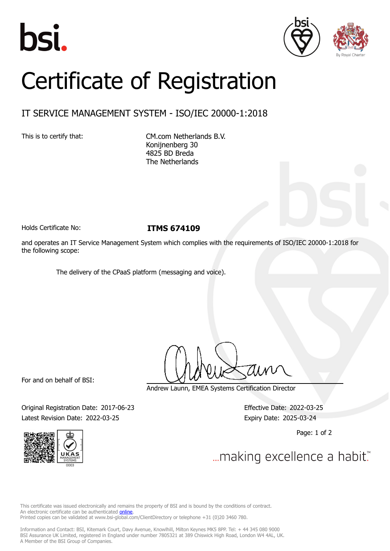





## Certificate of Registration

## IT SERVICE MANAGEMENT SYSTEM - ISO/IEC 20000-1:2018

This is to certify that: CM.com Netherlands B.V. Konijnenberg 30 4825 BD Breda The Netherlands

Holds Certificate No: **ITMS 674109**

and operates an IT Service Management System which complies with the requirements of ISO/IEC 20000-1:2018 for the following scope:

The delivery of the CPaaS platform (messaging and voice).

For and on behalf of BSI:

Andrew Launn, EMEA Systems Certification Director

Original Registration Date: 2017-06-23 Effective Date: 2022-03-25 Latest Revision Date: 2022-03-25 Expiry Date: 2025-03-24

Page: 1 of 2



... making excellence a habit."

This certificate was issued electronically and remains the property of BSI and is bound by the conditions of contract. An electronic certificate can be authenticated **[online](https://pgplus.bsigroup.com/CertificateValidation/CertificateValidator.aspx?CertificateNumber=ITMS+674109&ReIssueDate=25%2f03%2f2022&Template=cemea_en)**. Printed copies can be validated at www.bsi-global.com/ClientDirectory or telephone +31 (0)20 3460 780.

Information and Contact: BSI, Kitemark Court, Davy Avenue, Knowlhill, Milton Keynes MK5 8PP. Tel: + 44 345 080 9000 BSI Assurance UK Limited, registered in England under number 7805321 at 389 Chiswick High Road, London W4 4AL, UK. A Member of the BSI Group of Companies.